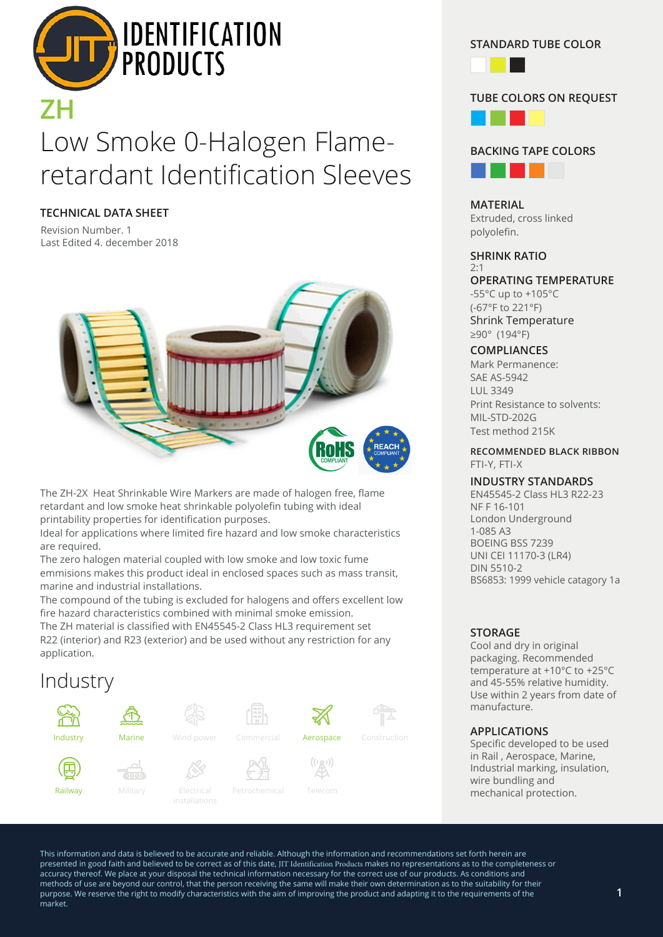

# Low Smoke 0-Halogen Flameretardant Identification Sleeves

**TECHNICAL DATA SHEET**

Revision Number. 1 Last Edited 4. december 2018



The ZH-2X Heat Shrinkable Wire Markers are made of halogen free, flame retardant and low smoke heat shrinkable polyolefin tubing with ideal printability properties for identification purposes.

Ideal for applications where limited fire hazard and low smoke characteristics are required.

The zero halogen material coupled with low smoke and low toxic fume emmisions makes this product ideal in enclosed spaces such as mass transit, marine and industrial installations.

The compound of the tubing is excluded for halogens and offers excellent low fire hazard characteristics combined with minimal smoke emission.

The ZH material is classified with EN45545-2 Class HL3 requirement set R22 (interior) and R23 (exterior) and be used without any restriction for any application.

# Industry



**STANDARD TUBE COLOR**



# **TUBE COLORS ON REQUEST**





**MATERIAL** Extruded, cross linked polyolefin.

# **SHRINK RATIO**

2:1 **OPERATING TEMPERATURE** -55°C up to +105°C (-67°F to 221°F)

Shrink Temperature ≥90° (194°F)

# **COMPLIANCES**

Mark Permanence: SAE AS-5942 LUL 3349 Print Resistance to solvents: MIL-STD-202G Test method 215K

### **RECOMMENDED BLACK RIBBON** FTI-Y, FTI-X

### **INDUSTRY STANDARDS**

EN45545-2 Class HL3 R22-23 NF F 16-101 London Underground 1-085 A3 BOEING BSS 7239 UNI CEI 11170-3 (LR4) DIN 5510-2 BS6853: 1999 vehicle catagory 1a

# **STORAGE**

Cool and dry in original packaging. Recommended temperature at +10°C to +25°C and 45-55% relative humidity. Use within 2 years from date of manufacture.

### **APPLICATIONS**

Specific developed to be used in Rail , Aerospace, Marine, Industrial marking, insulation, wire bundling and mechanical protection.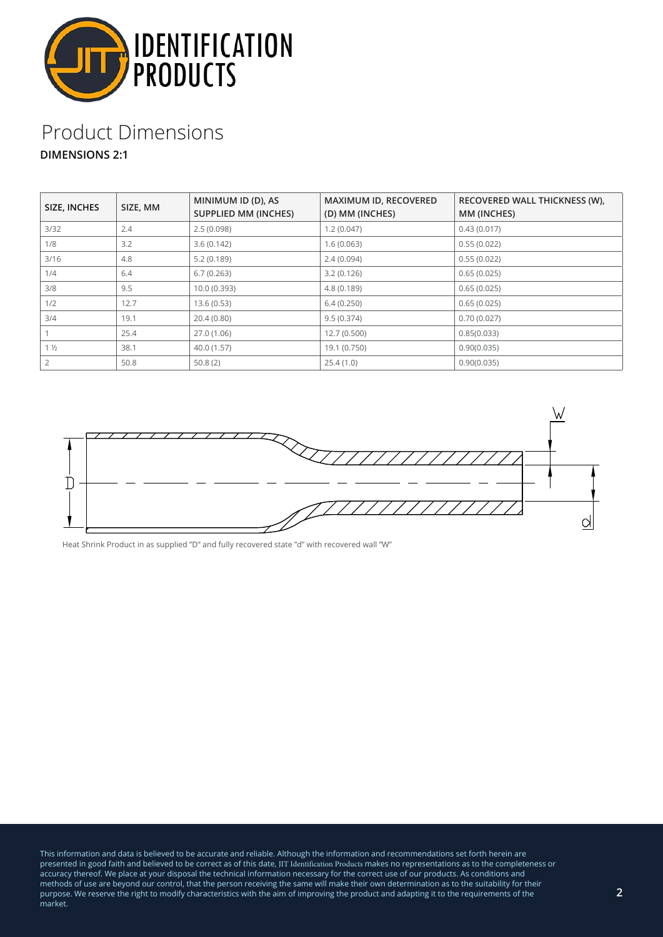

# Product Dimensions **DIMENSIONS 2:1**

| SIZE, INCHES   | SIZE, MM | MINIMUM ID (D), AS<br><b>SUPPLIED MM (INCHES)</b> | MAXIMUM ID, RECOVERED<br>(D) MM (INCHES) | RECOVERED WALL THICKNESS (W),<br>MM (INCHES) |
|----------------|----------|---------------------------------------------------|------------------------------------------|----------------------------------------------|
| 3/32           | 2.4      | 2.5(0.098)                                        | 1.2(0.047)                               | 0.43(0.017)                                  |
| 1/8            | 3.2      | 3.6(0.142)                                        | 1.6(0.063)                               | 0.55(0.022)                                  |
| 3/16           | 4.8      | 5.2(0.189)                                        | 2.4(0.094)                               | 0.55(0.022)                                  |
| 1/4            | 6.4      | 6.7(0.263)                                        | 3.2(0.126)                               | 0.65(0.025)                                  |
| 3/8            | 9.5      | 10.0 (0.393)                                      | 4.8(0.189)                               | 0.65(0.025)                                  |
| 1/2            | 12.7     | 13.6(0.53)                                        | 6.4(0.250)                               | 0.65(0.025)                                  |
| 3/4            | 19.1     | 20.4(0.80)                                        | 9.5(0.374)                               | 0.70(0.027)                                  |
|                | 25.4     | 27.0 (1.06)                                       | 12.7(0.500)                              | 0.85(0.033)                                  |
| 1 <sub>2</sub> | 38.1     | 40.0 (1.57)                                       | 19.1 (0.750)                             | 0.90(0.035)                                  |
|                | 50.8     | 50.8(2)                                           | 25.4(1.0)                                | 0.90(0.035)                                  |



Heat Shrink Product in as supplied "D" and fully recovered state "d" with recovered wall "W"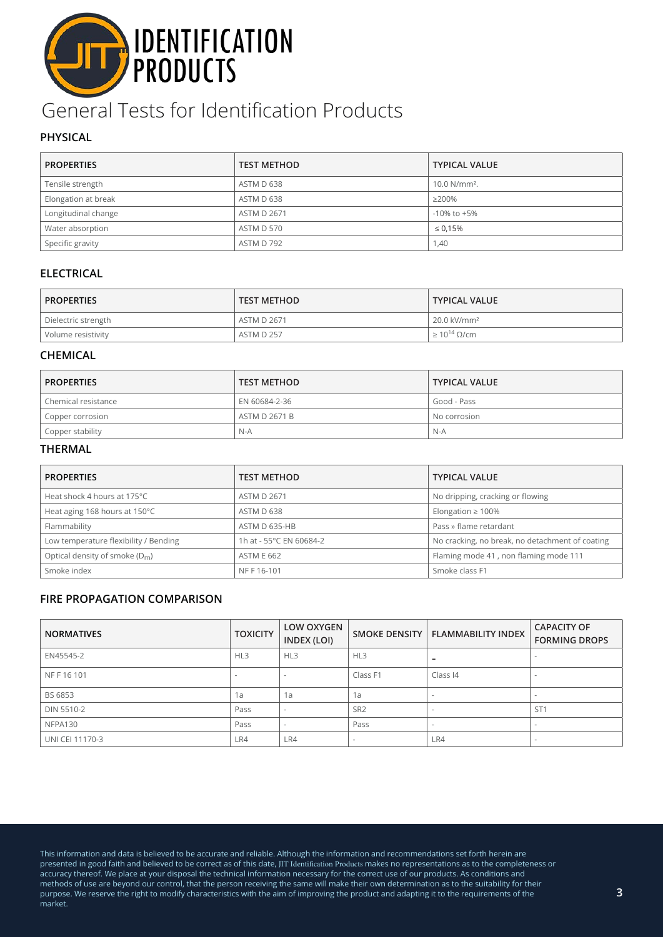# **DENTIFICATION**

# General Tests for Identification Products

# **PHYSICAL**

| <b>PROPERTIES</b>   | <b>TEST METHOD</b> | <b>TYPICAL VALUE</b>     |
|---------------------|--------------------|--------------------------|
| Tensile strength    | ASTM D 638         | 10.0 N/mm <sup>2</sup> . |
| Elongation at break | ASTM D 638         | $\geq$ 200%              |
| Longitudinal change | <b>ASTM D 2671</b> | $-10\%$ to $+5\%$        |
| Water absorption    | ASTM D 570         | $\leq 0.15\%$            |
| Specific gravity    | ASTM D 792         | 1,40                     |

# **ELECTRICAL**

| <b>PROPERTIES</b>   | <b>TEST METHOD</b> | <b>TYPICAL VALUE</b>    |
|---------------------|--------------------|-------------------------|
| Dielectric strength | <b>ASTM D 2671</b> | 20.0 kV/mm <sup>2</sup> |
| Volume resistivity  | ASTM D 257         | $\geq 10^{14}$ Q/cm     |

### **CHEMICAL**

| <b>PROPERTIES</b>   | <b>TEST METHOD</b> | <b>TYPICAL VALUE</b> |
|---------------------|--------------------|----------------------|
| Chemical resistance | EN 60684-2-36      | Good - Pass          |
| Copper corrosion    | ASTM D 2671 B      | No corrosion         |
| Copper stability    | $N-A$              | N-A                  |

### **THERMAL**

| <b>PROPERTIES</b>                     | <b>TEST METHOD</b>      | <b>TYPICAL VALUE</b>                            |
|---------------------------------------|-------------------------|-------------------------------------------------|
| Heat shock 4 hours at 175°C           | <b>ASTM D 2671</b>      | No dripping, cracking or flowing                |
| Heat aging 168 hours at 150°C         | ASTM D 638              | Elongation $\geq 100\%$                         |
| Flammability                          | ASTM D 635-HB           | Pass » flame retardant                          |
| Low temperature flexibility / Bending | 1h at - 55°C EN 60684-2 | No cracking, no break, no detachment of coating |
| Optical density of smoke $(D_m)$      | <b>ASTM E 662</b>       | Flaming mode 41, non flaming mode 111           |
| Smoke index                           | NF F 16-101             | Smoke class F1                                  |

# **FIRE PROPAGATION COMPARISON**

| <b>NORMATIVES</b> | <b>TOXICITY</b> | <b>LOW OXYGEN</b><br>INDEX (LOI) | <b>SMOKE DENSITY</b> | <b>FLAMMABILITY INDEX</b> | <b>CAPACITY OF</b><br><b>FORMING DROPS</b> |
|-------------------|-----------------|----------------------------------|----------------------|---------------------------|--------------------------------------------|
| EN45545-2         | HL3             | HL3                              | HL3                  | -                         | $\sim$                                     |
| NFF16101          |                 |                                  | Class F1             | Class I4                  | $\sim$                                     |
| BS 6853           | 1a              | 1a                               | 1a                   | $\sim$                    | $\sim$                                     |
| DIN 5510-2        | Pass            |                                  | SR <sub>2</sub>      | $\overline{\phantom{a}}$  | ST <sub>1</sub>                            |
| NFPA130           | Pass            |                                  | Pass                 | $\sim$                    | $\sim$                                     |
| UNI CEI 11170-3   | LR4             | LR4                              | $\sim$               | LR4                       | $\sim$                                     |